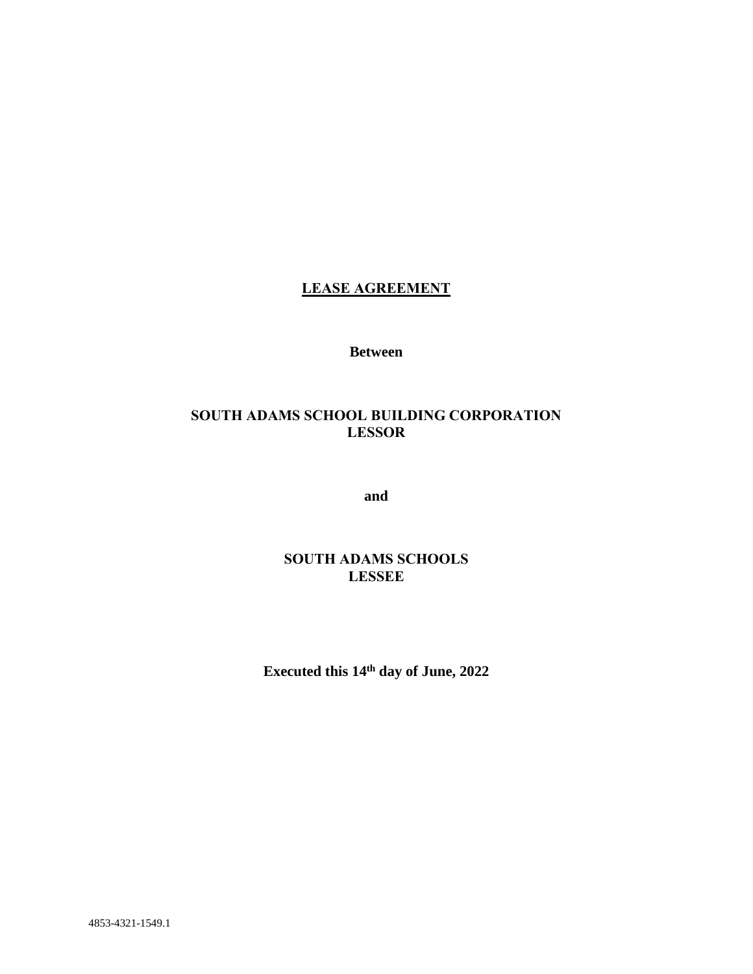# **LEASE AGREEMENT**

**Between**

## **SOUTH ADAMS SCHOOL BUILDING CORPORATION LESSOR**

**and**

## **SOUTH ADAMS SCHOOLS LESSEE**

**Executed this 14th day of June, 2022**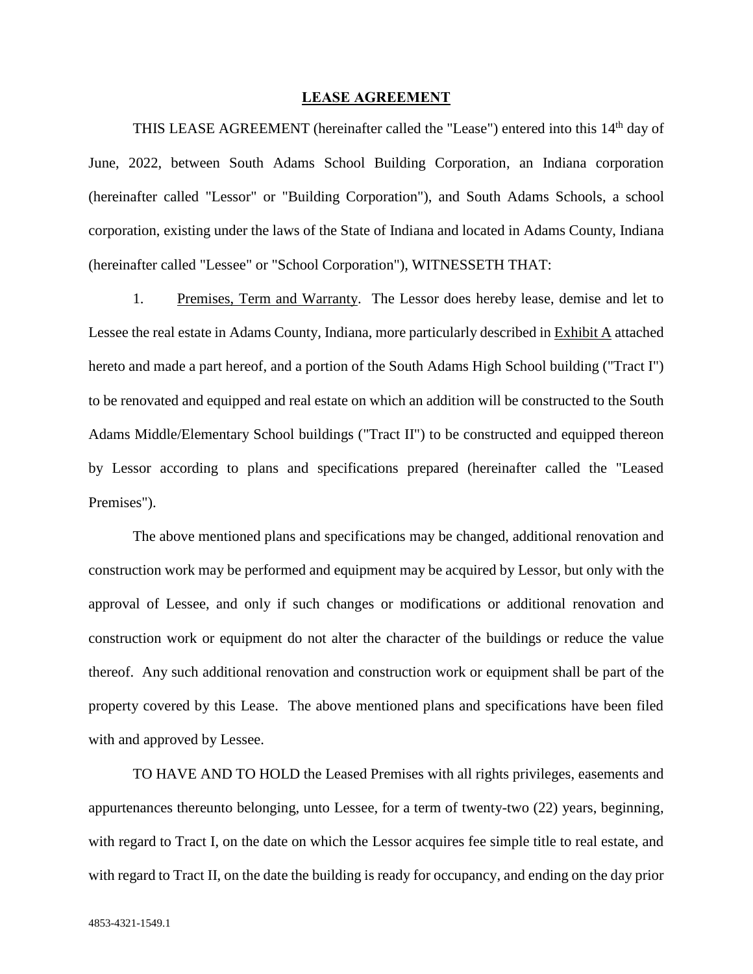#### **LEASE AGREEMENT**

THIS LEASE AGREEMENT (hereinafter called the "Lease") entered into this 14<sup>th</sup> day of June, 2022, between South Adams School Building Corporation, an Indiana corporation (hereinafter called "Lessor" or "Building Corporation"), and South Adams Schools, a school corporation, existing under the laws of the State of Indiana and located in Adams County, Indiana (hereinafter called "Lessee" or "School Corporation"), WITNESSETH THAT:

1. Premises, Term and Warranty. The Lessor does hereby lease, demise and let to Lessee the real estate in Adams County, Indiana, more particularly described in Exhibit A attached hereto and made a part hereof, and a portion of the South Adams High School building ("Tract I") to be renovated and equipped and real estate on which an addition will be constructed to the South Adams Middle/Elementary School buildings ("Tract II") to be constructed and equipped thereon by Lessor according to plans and specifications prepared (hereinafter called the "Leased Premises").

The above mentioned plans and specifications may be changed, additional renovation and construction work may be performed and equipment may be acquired by Lessor, but only with the approval of Lessee, and only if such changes or modifications or additional renovation and construction work or equipment do not alter the character of the buildings or reduce the value thereof. Any such additional renovation and construction work or equipment shall be part of the property covered by this Lease. The above mentioned plans and specifications have been filed with and approved by Lessee.

TO HAVE AND TO HOLD the Leased Premises with all rights privileges, easements and appurtenances thereunto belonging, unto Lessee, for a term of twenty-two (22) years, beginning, with regard to Tract I, on the date on which the Lessor acquires fee simple title to real estate, and with regard to Tract II, on the date the building is ready for occupancy, and ending on the day prior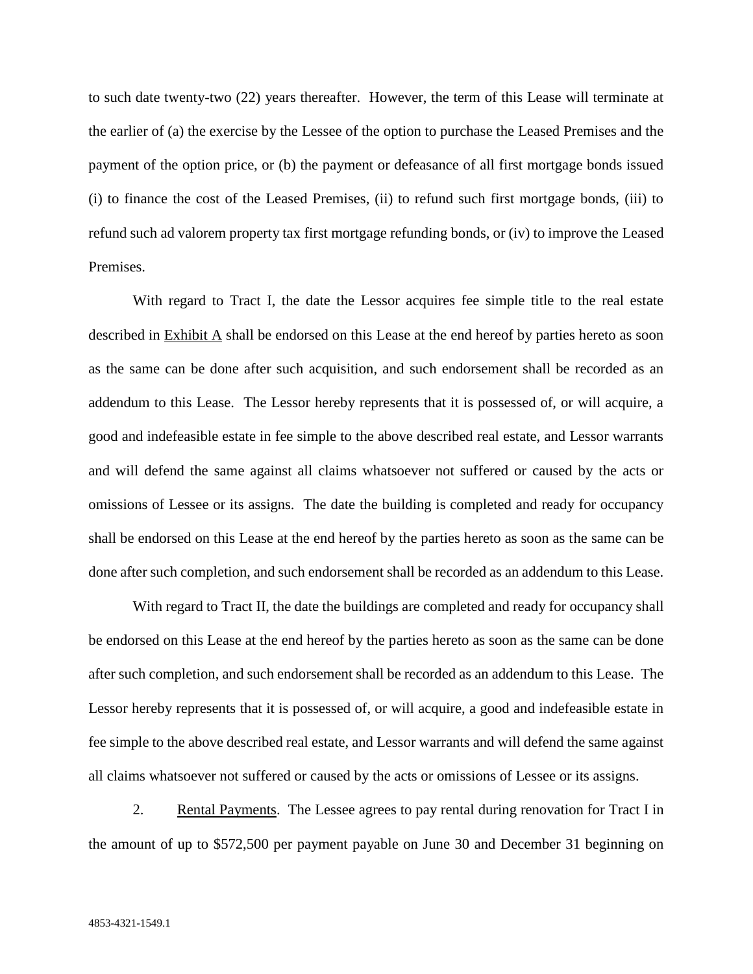to such date twenty-two (22) years thereafter. However, the term of this Lease will terminate at the earlier of (a) the exercise by the Lessee of the option to purchase the Leased Premises and the payment of the option price, or (b) the payment or defeasance of all first mortgage bonds issued (i) to finance the cost of the Leased Premises, (ii) to refund such first mortgage bonds, (iii) to refund such ad valorem property tax first mortgage refunding bonds, or (iv) to improve the Leased Premises.

With regard to Tract I, the date the Lessor acquires fee simple title to the real estate described in Exhibit A shall be endorsed on this Lease at the end hereof by parties hereto as soon as the same can be done after such acquisition, and such endorsement shall be recorded as an addendum to this Lease. The Lessor hereby represents that it is possessed of, or will acquire, a good and indefeasible estate in fee simple to the above described real estate, and Lessor warrants and will defend the same against all claims whatsoever not suffered or caused by the acts or omissions of Lessee or its assigns. The date the building is completed and ready for occupancy shall be endorsed on this Lease at the end hereof by the parties hereto as soon as the same can be done after such completion, and such endorsement shall be recorded as an addendum to this Lease.

With regard to Tract II, the date the buildings are completed and ready for occupancy shall be endorsed on this Lease at the end hereof by the parties hereto as soon as the same can be done after such completion, and such endorsement shall be recorded as an addendum to this Lease. The Lessor hereby represents that it is possessed of, or will acquire, a good and indefeasible estate in fee simple to the above described real estate, and Lessor warrants and will defend the same against all claims whatsoever not suffered or caused by the acts or omissions of Lessee or its assigns.

2. Rental Payments. The Lessee agrees to pay rental during renovation for Tract I in the amount of up to \$572,500 per payment payable on June 30 and December 31 beginning on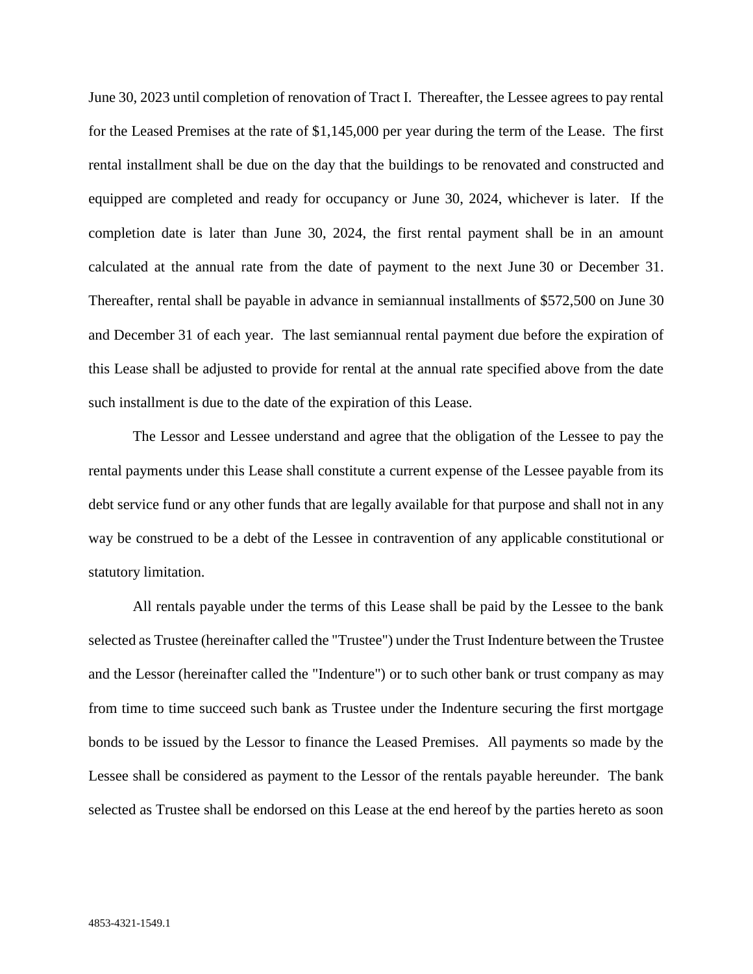June 30, 2023 until completion of renovation of Tract I. Thereafter, the Lessee agrees to pay rental for the Leased Premises at the rate of \$1,145,000 per year during the term of the Lease. The first rental installment shall be due on the day that the buildings to be renovated and constructed and equipped are completed and ready for occupancy or June 30, 2024, whichever is later. If the completion date is later than June 30, 2024, the first rental payment shall be in an amount calculated at the annual rate from the date of payment to the next June 30 or December 31. Thereafter, rental shall be payable in advance in semiannual installments of \$572,500 on June 30 and December 31 of each year. The last semiannual rental payment due before the expiration of this Lease shall be adjusted to provide for rental at the annual rate specified above from the date such installment is due to the date of the expiration of this Lease.

The Lessor and Lessee understand and agree that the obligation of the Lessee to pay the rental payments under this Lease shall constitute a current expense of the Lessee payable from its debt service fund or any other funds that are legally available for that purpose and shall not in any way be construed to be a debt of the Lessee in contravention of any applicable constitutional or statutory limitation.

All rentals payable under the terms of this Lease shall be paid by the Lessee to the bank selected as Trustee (hereinafter called the "Trustee") under the Trust Indenture between the Trustee and the Lessor (hereinafter called the "Indenture") or to such other bank or trust company as may from time to time succeed such bank as Trustee under the Indenture securing the first mortgage bonds to be issued by the Lessor to finance the Leased Premises. All payments so made by the Lessee shall be considered as payment to the Lessor of the rentals payable hereunder. The bank selected as Trustee shall be endorsed on this Lease at the end hereof by the parties hereto as soon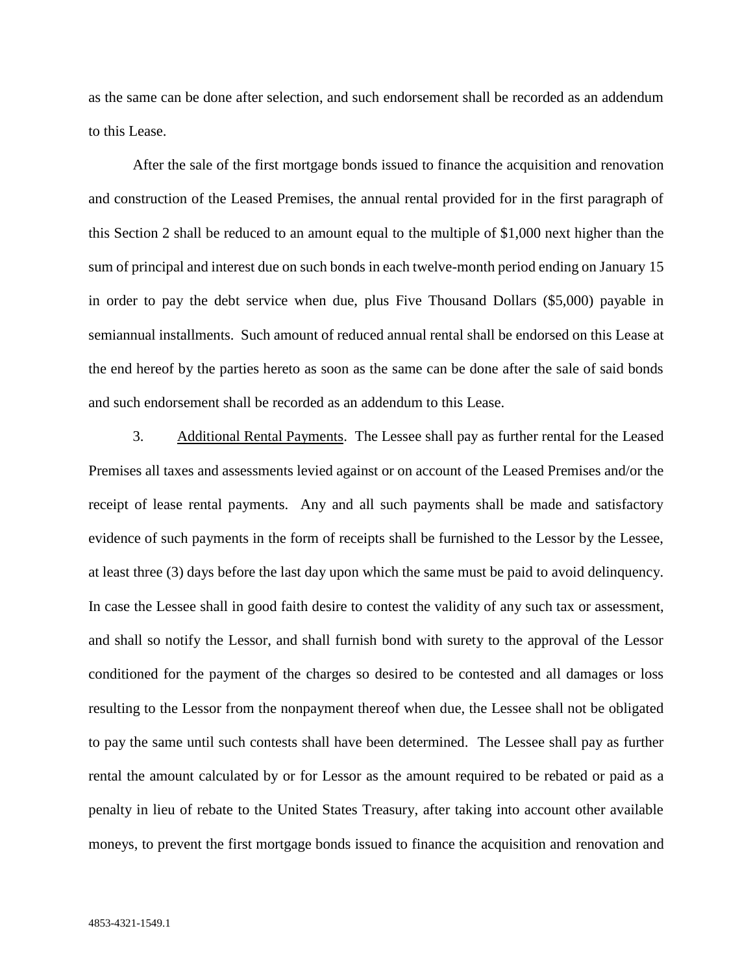as the same can be done after selection, and such endorsement shall be recorded as an addendum to this Lease.

After the sale of the first mortgage bonds issued to finance the acquisition and renovation and construction of the Leased Premises, the annual rental provided for in the first paragraph of this Section 2 shall be reduced to an amount equal to the multiple of \$1,000 next higher than the sum of principal and interest due on such bonds in each twelve-month period ending on January 15 in order to pay the debt service when due, plus Five Thousand Dollars (\$5,000) payable in semiannual installments. Such amount of reduced annual rental shall be endorsed on this Lease at the end hereof by the parties hereto as soon as the same can be done after the sale of said bonds and such endorsement shall be recorded as an addendum to this Lease.

3. Additional Rental Payments. The Lessee shall pay as further rental for the Leased Premises all taxes and assessments levied against or on account of the Leased Premises and/or the receipt of lease rental payments. Any and all such payments shall be made and satisfactory evidence of such payments in the form of receipts shall be furnished to the Lessor by the Lessee, at least three (3) days before the last day upon which the same must be paid to avoid delinquency. In case the Lessee shall in good faith desire to contest the validity of any such tax or assessment, and shall so notify the Lessor, and shall furnish bond with surety to the approval of the Lessor conditioned for the payment of the charges so desired to be contested and all damages or loss resulting to the Lessor from the nonpayment thereof when due, the Lessee shall not be obligated to pay the same until such contests shall have been determined. The Lessee shall pay as further rental the amount calculated by or for Lessor as the amount required to be rebated or paid as a penalty in lieu of rebate to the United States Treasury, after taking into account other available moneys, to prevent the first mortgage bonds issued to finance the acquisition and renovation and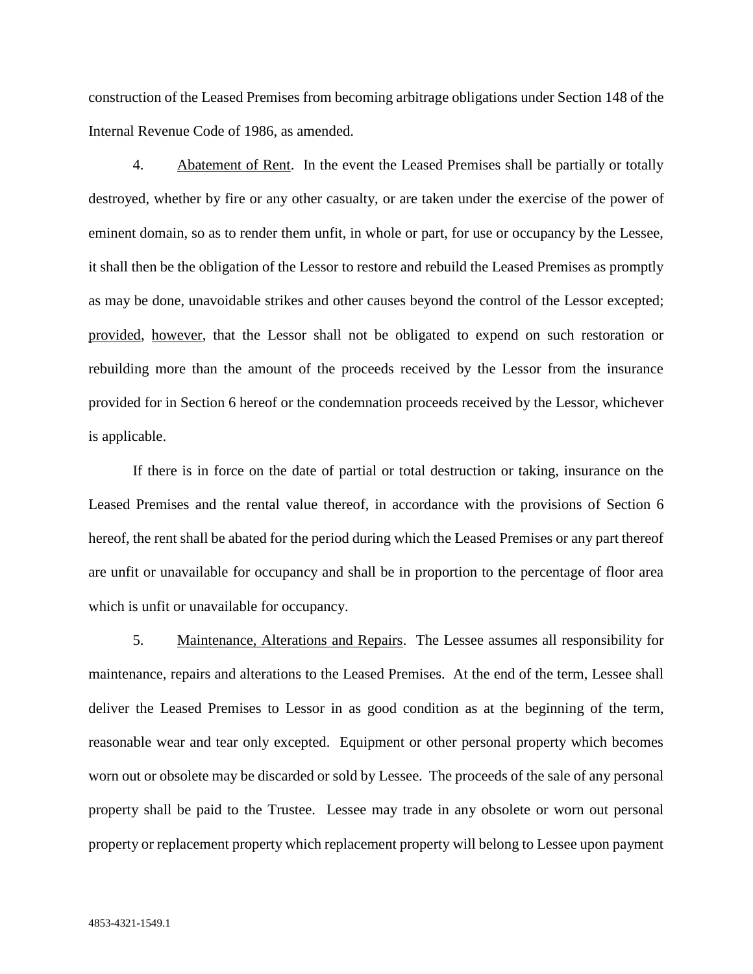construction of the Leased Premises from becoming arbitrage obligations under Section 148 of the Internal Revenue Code of 1986, as amended.

4. Abatement of Rent. In the event the Leased Premises shall be partially or totally destroyed, whether by fire or any other casualty, or are taken under the exercise of the power of eminent domain, so as to render them unfit, in whole or part, for use or occupancy by the Lessee, it shall then be the obligation of the Lessor to restore and rebuild the Leased Premises as promptly as may be done, unavoidable strikes and other causes beyond the control of the Lessor excepted; provided, however, that the Lessor shall not be obligated to expend on such restoration or rebuilding more than the amount of the proceeds received by the Lessor from the insurance provided for in Section 6 hereof or the condemnation proceeds received by the Lessor, whichever is applicable.

If there is in force on the date of partial or total destruction or taking, insurance on the Leased Premises and the rental value thereof, in accordance with the provisions of Section 6 hereof, the rent shall be abated for the period during which the Leased Premises or any part thereof are unfit or unavailable for occupancy and shall be in proportion to the percentage of floor area which is unfit or unavailable for occupancy.

5. Maintenance, Alterations and Repairs. The Lessee assumes all responsibility for maintenance, repairs and alterations to the Leased Premises. At the end of the term, Lessee shall deliver the Leased Premises to Lessor in as good condition as at the beginning of the term, reasonable wear and tear only excepted. Equipment or other personal property which becomes worn out or obsolete may be discarded or sold by Lessee. The proceeds of the sale of any personal property shall be paid to the Trustee. Lessee may trade in any obsolete or worn out personal property or replacement property which replacement property will belong to Lessee upon payment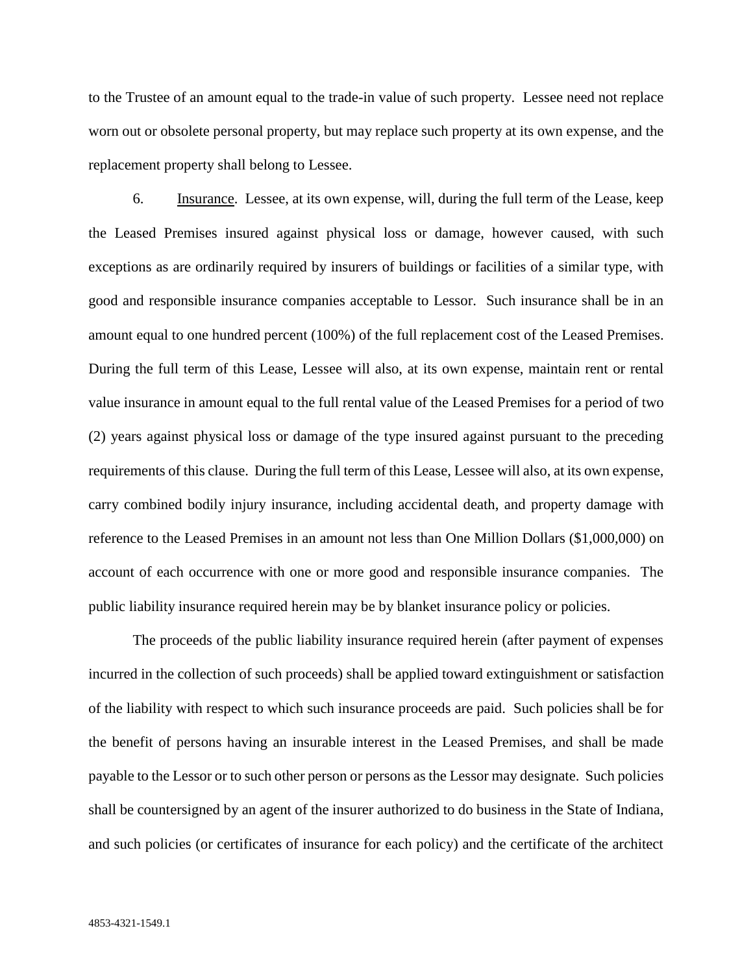to the Trustee of an amount equal to the trade-in value of such property. Lessee need not replace worn out or obsolete personal property, but may replace such property at its own expense, and the replacement property shall belong to Lessee.

6. Insurance. Lessee, at its own expense, will, during the full term of the Lease, keep the Leased Premises insured against physical loss or damage, however caused, with such exceptions as are ordinarily required by insurers of buildings or facilities of a similar type, with good and responsible insurance companies acceptable to Lessor. Such insurance shall be in an amount equal to one hundred percent (100%) of the full replacement cost of the Leased Premises. During the full term of this Lease, Lessee will also, at its own expense, maintain rent or rental value insurance in amount equal to the full rental value of the Leased Premises for a period of two (2) years against physical loss or damage of the type insured against pursuant to the preceding requirements of this clause. During the full term of this Lease, Lessee will also, at its own expense, carry combined bodily injury insurance, including accidental death, and property damage with reference to the Leased Premises in an amount not less than One Million Dollars (\$1,000,000) on account of each occurrence with one or more good and responsible insurance companies. The public liability insurance required herein may be by blanket insurance policy or policies.

The proceeds of the public liability insurance required herein (after payment of expenses incurred in the collection of such proceeds) shall be applied toward extinguishment or satisfaction of the liability with respect to which such insurance proceeds are paid. Such policies shall be for the benefit of persons having an insurable interest in the Leased Premises, and shall be made payable to the Lessor or to such other person or persons as the Lessor may designate. Such policies shall be countersigned by an agent of the insurer authorized to do business in the State of Indiana, and such policies (or certificates of insurance for each policy) and the certificate of the architect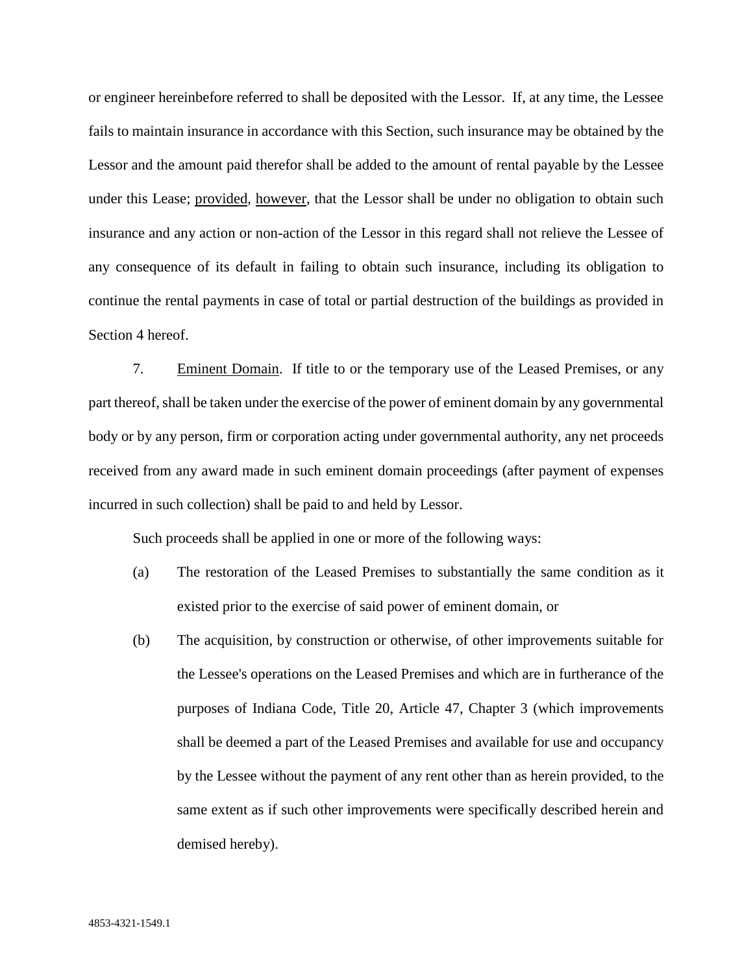or engineer hereinbefore referred to shall be deposited with the Lessor. If, at any time, the Lessee fails to maintain insurance in accordance with this Section, such insurance may be obtained by the Lessor and the amount paid therefor shall be added to the amount of rental payable by the Lessee under this Lease; provided, however, that the Lessor shall be under no obligation to obtain such insurance and any action or non-action of the Lessor in this regard shall not relieve the Lessee of any consequence of its default in failing to obtain such insurance, including its obligation to continue the rental payments in case of total or partial destruction of the buildings as provided in Section 4 hereof.

7. Eminent Domain. If title to or the temporary use of the Leased Premises, or any part thereof, shall be taken under the exercise of the power of eminent domain by any governmental body or by any person, firm or corporation acting under governmental authority, any net proceeds received from any award made in such eminent domain proceedings (after payment of expenses incurred in such collection) shall be paid to and held by Lessor.

Such proceeds shall be applied in one or more of the following ways:

- (a) The restoration of the Leased Premises to substantially the same condition as it existed prior to the exercise of said power of eminent domain, or
- (b) The acquisition, by construction or otherwise, of other improvements suitable for the Lessee's operations on the Leased Premises and which are in furtherance of the purposes of Indiana Code, Title 20, Article 47, Chapter 3 (which improvements shall be deemed a part of the Leased Premises and available for use and occupancy by the Lessee without the payment of any rent other than as herein provided, to the same extent as if such other improvements were specifically described herein and demised hereby).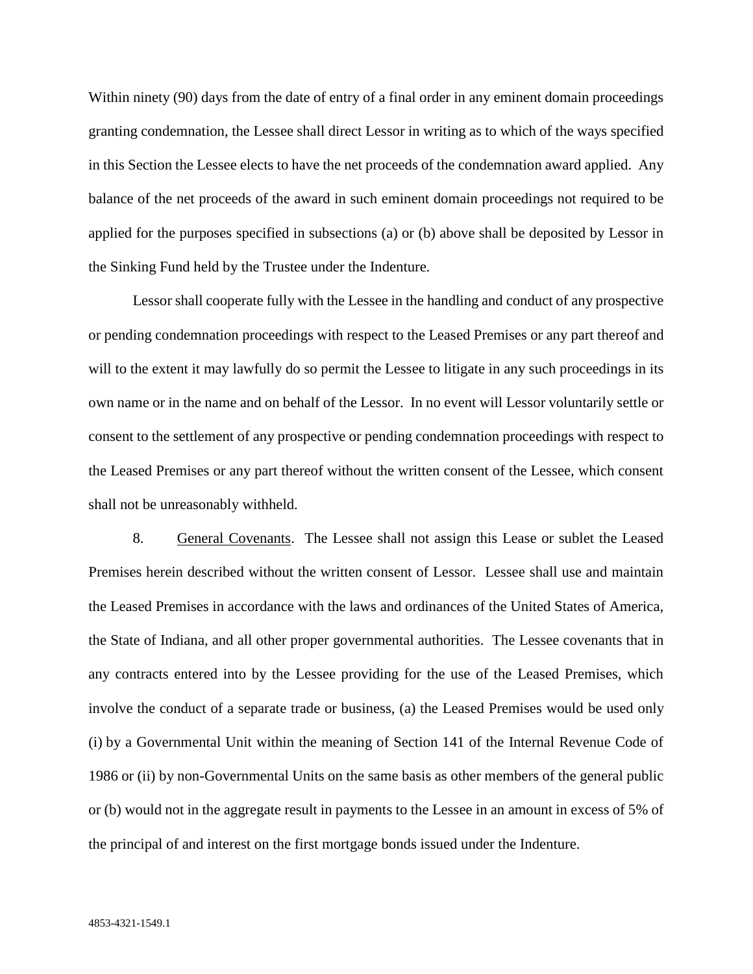Within ninety (90) days from the date of entry of a final order in any eminent domain proceedings granting condemnation, the Lessee shall direct Lessor in writing as to which of the ways specified in this Section the Lessee elects to have the net proceeds of the condemnation award applied. Any balance of the net proceeds of the award in such eminent domain proceedings not required to be applied for the purposes specified in subsections (a) or (b) above shall be deposited by Lessor in the Sinking Fund held by the Trustee under the Indenture.

Lessor shall cooperate fully with the Lessee in the handling and conduct of any prospective or pending condemnation proceedings with respect to the Leased Premises or any part thereof and will to the extent it may lawfully do so permit the Lessee to litigate in any such proceedings in its own name or in the name and on behalf of the Lessor. In no event will Lessor voluntarily settle or consent to the settlement of any prospective or pending condemnation proceedings with respect to the Leased Premises or any part thereof without the written consent of the Lessee, which consent shall not be unreasonably withheld.

8. General Covenants. The Lessee shall not assign this Lease or sublet the Leased Premises herein described without the written consent of Lessor. Lessee shall use and maintain the Leased Premises in accordance with the laws and ordinances of the United States of America, the State of Indiana, and all other proper governmental authorities. The Lessee covenants that in any contracts entered into by the Lessee providing for the use of the Leased Premises, which involve the conduct of a separate trade or business, (a) the Leased Premises would be used only (i) by a Governmental Unit within the meaning of Section 141 of the Internal Revenue Code of 1986 or (ii) by non-Governmental Units on the same basis as other members of the general public or (b) would not in the aggregate result in payments to the Lessee in an amount in excess of 5% of the principal of and interest on the first mortgage bonds issued under the Indenture.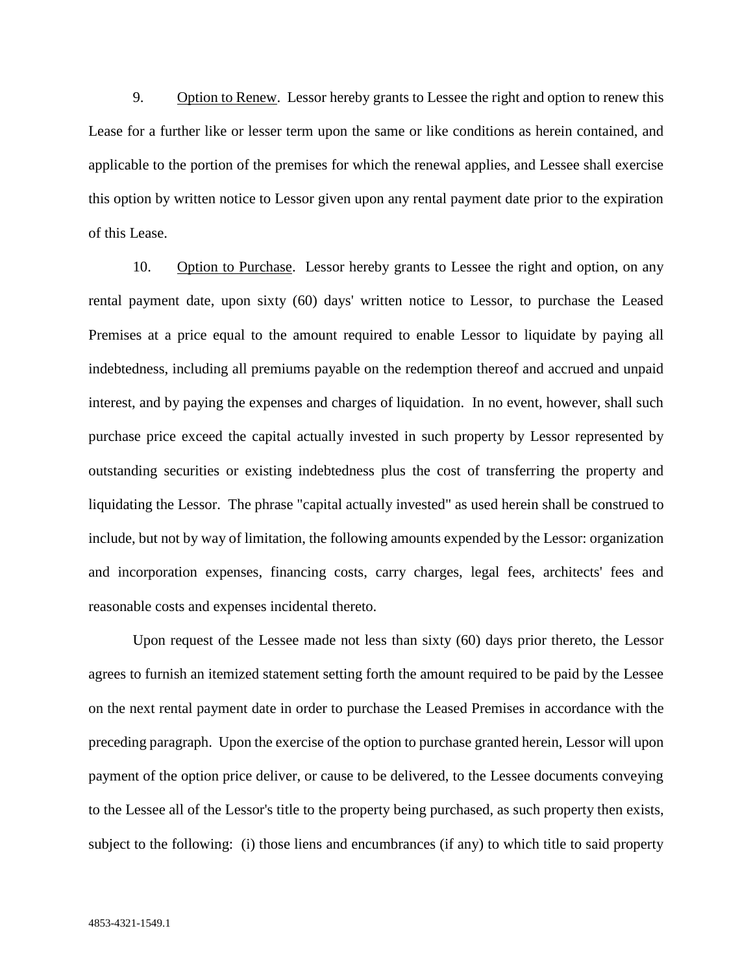9. Option to Renew. Lessor hereby grants to Lessee the right and option to renew this Lease for a further like or lesser term upon the same or like conditions as herein contained, and applicable to the portion of the premises for which the renewal applies, and Lessee shall exercise this option by written notice to Lessor given upon any rental payment date prior to the expiration of this Lease.

10. Option to Purchase. Lessor hereby grants to Lessee the right and option, on any rental payment date, upon sixty (60) days' written notice to Lessor, to purchase the Leased Premises at a price equal to the amount required to enable Lessor to liquidate by paying all indebtedness, including all premiums payable on the redemption thereof and accrued and unpaid interest, and by paying the expenses and charges of liquidation. In no event, however, shall such purchase price exceed the capital actually invested in such property by Lessor represented by outstanding securities or existing indebtedness plus the cost of transferring the property and liquidating the Lessor. The phrase "capital actually invested" as used herein shall be construed to include, but not by way of limitation, the following amounts expended by the Lessor: organization and incorporation expenses, financing costs, carry charges, legal fees, architects' fees and reasonable costs and expenses incidental thereto.

Upon request of the Lessee made not less than sixty (60) days prior thereto, the Lessor agrees to furnish an itemized statement setting forth the amount required to be paid by the Lessee on the next rental payment date in order to purchase the Leased Premises in accordance with the preceding paragraph. Upon the exercise of the option to purchase granted herein, Lessor will upon payment of the option price deliver, or cause to be delivered, to the Lessee documents conveying to the Lessee all of the Lessor's title to the property being purchased, as such property then exists, subject to the following: (i) those liens and encumbrances (if any) to which title to said property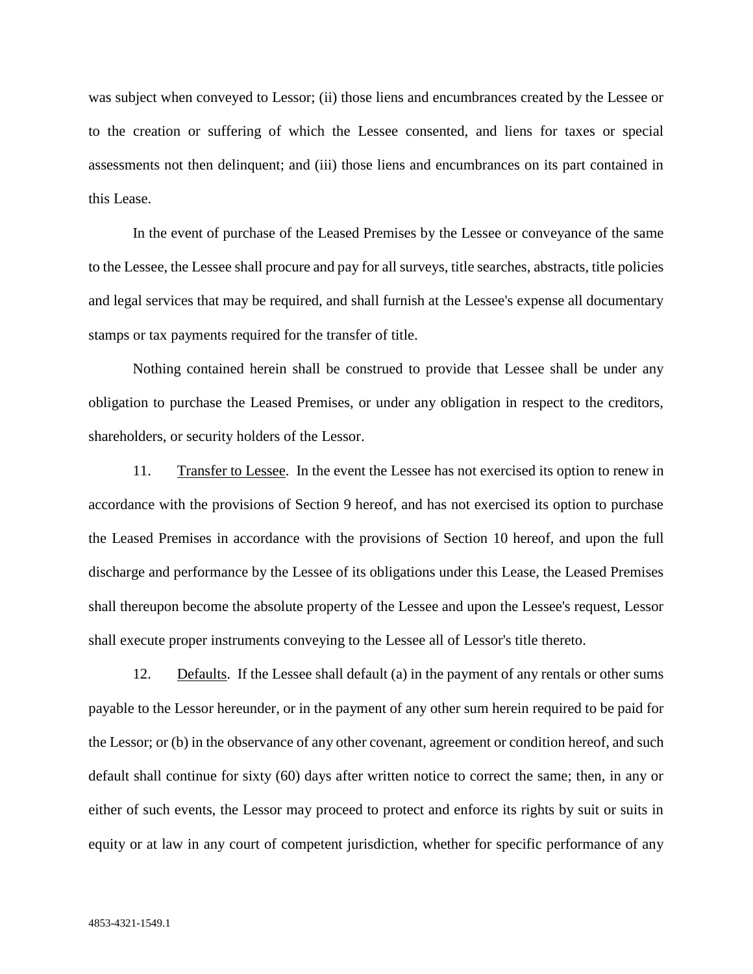was subject when conveyed to Lessor; (ii) those liens and encumbrances created by the Lessee or to the creation or suffering of which the Lessee consented, and liens for taxes or special assessments not then delinquent; and (iii) those liens and encumbrances on its part contained in this Lease.

In the event of purchase of the Leased Premises by the Lessee or conveyance of the same to the Lessee, the Lessee shall procure and pay for all surveys, title searches, abstracts, title policies and legal services that may be required, and shall furnish at the Lessee's expense all documentary stamps or tax payments required for the transfer of title.

Nothing contained herein shall be construed to provide that Lessee shall be under any obligation to purchase the Leased Premises, or under any obligation in respect to the creditors, shareholders, or security holders of the Lessor.

11. Transfer to Lessee. In the event the Lessee has not exercised its option to renew in accordance with the provisions of Section 9 hereof, and has not exercised its option to purchase the Leased Premises in accordance with the provisions of Section 10 hereof, and upon the full discharge and performance by the Lessee of its obligations under this Lease, the Leased Premises shall thereupon become the absolute property of the Lessee and upon the Lessee's request, Lessor shall execute proper instruments conveying to the Lessee all of Lessor's title thereto.

12. Defaults. If the Lessee shall default (a) in the payment of any rentals or other sums payable to the Lessor hereunder, or in the payment of any other sum herein required to be paid for the Lessor; or (b) in the observance of any other covenant, agreement or condition hereof, and such default shall continue for sixty (60) days after written notice to correct the same; then, in any or either of such events, the Lessor may proceed to protect and enforce its rights by suit or suits in equity or at law in any court of competent jurisdiction, whether for specific performance of any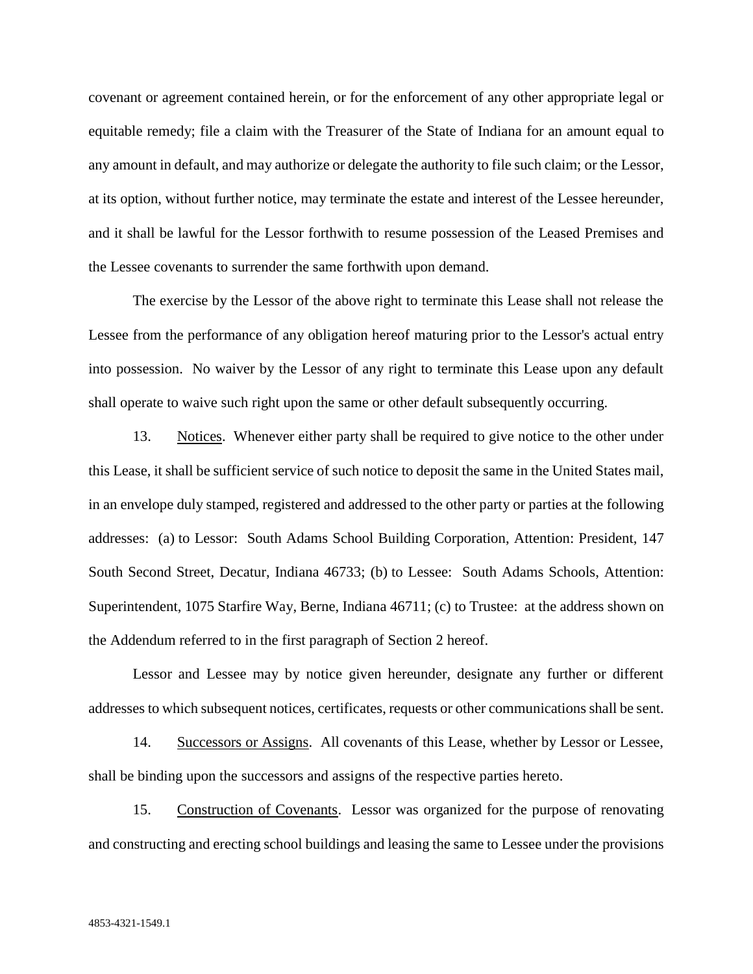covenant or agreement contained herein, or for the enforcement of any other appropriate legal or equitable remedy; file a claim with the Treasurer of the State of Indiana for an amount equal to any amount in default, and may authorize or delegate the authority to file such claim; or the Lessor, at its option, without further notice, may terminate the estate and interest of the Lessee hereunder, and it shall be lawful for the Lessor forthwith to resume possession of the Leased Premises and the Lessee covenants to surrender the same forthwith upon demand.

The exercise by the Lessor of the above right to terminate this Lease shall not release the Lessee from the performance of any obligation hereof maturing prior to the Lessor's actual entry into possession. No waiver by the Lessor of any right to terminate this Lease upon any default shall operate to waive such right upon the same or other default subsequently occurring.

13. Notices. Whenever either party shall be required to give notice to the other under this Lease, it shall be sufficient service of such notice to deposit the same in the United States mail, in an envelope duly stamped, registered and addressed to the other party or parties at the following addresses: (a) to Lessor: South Adams School Building Corporation, Attention: President, 147 South Second Street, Decatur, Indiana 46733; (b) to Lessee: South Adams Schools, Attention: Superintendent, 1075 Starfire Way, Berne, Indiana 46711; (c) to Trustee: at the address shown on the Addendum referred to in the first paragraph of Section 2 hereof.

Lessor and Lessee may by notice given hereunder, designate any further or different addresses to which subsequent notices, certificates, requests or other communications shall be sent.

14. Successors or Assigns. All covenants of this Lease, whether by Lessor or Lessee, shall be binding upon the successors and assigns of the respective parties hereto.

15. Construction of Covenants. Lessor was organized for the purpose of renovating and constructing and erecting school buildings and leasing the same to Lessee under the provisions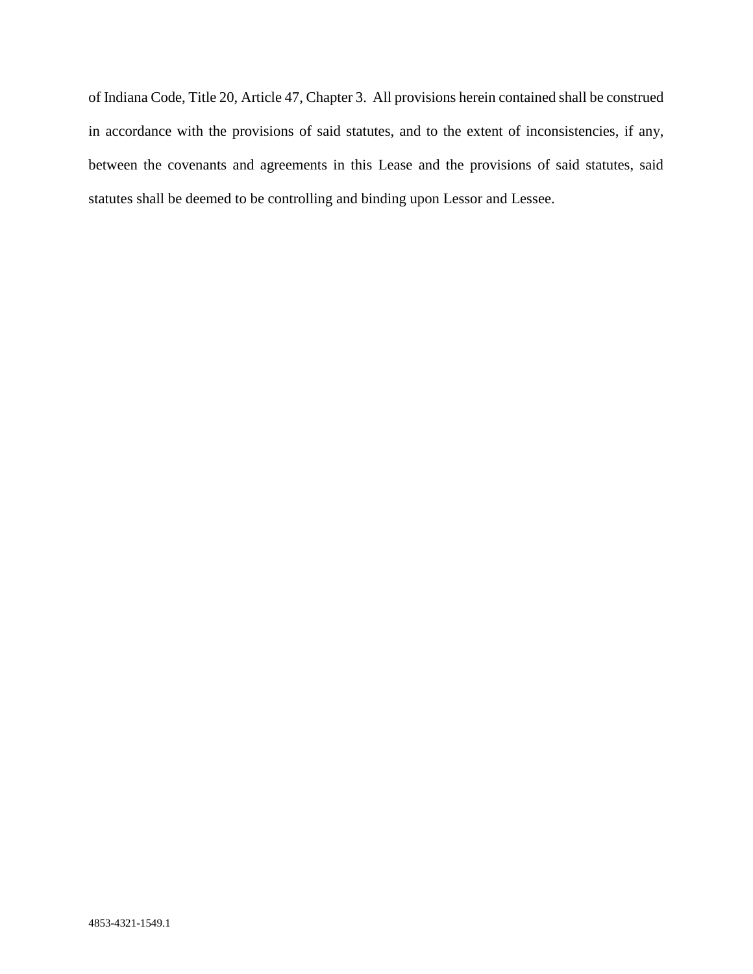of Indiana Code, Title 20, Article 47, Chapter 3. All provisions herein contained shall be construed in accordance with the provisions of said statutes, and to the extent of inconsistencies, if any, between the covenants and agreements in this Lease and the provisions of said statutes, said statutes shall be deemed to be controlling and binding upon Lessor and Lessee.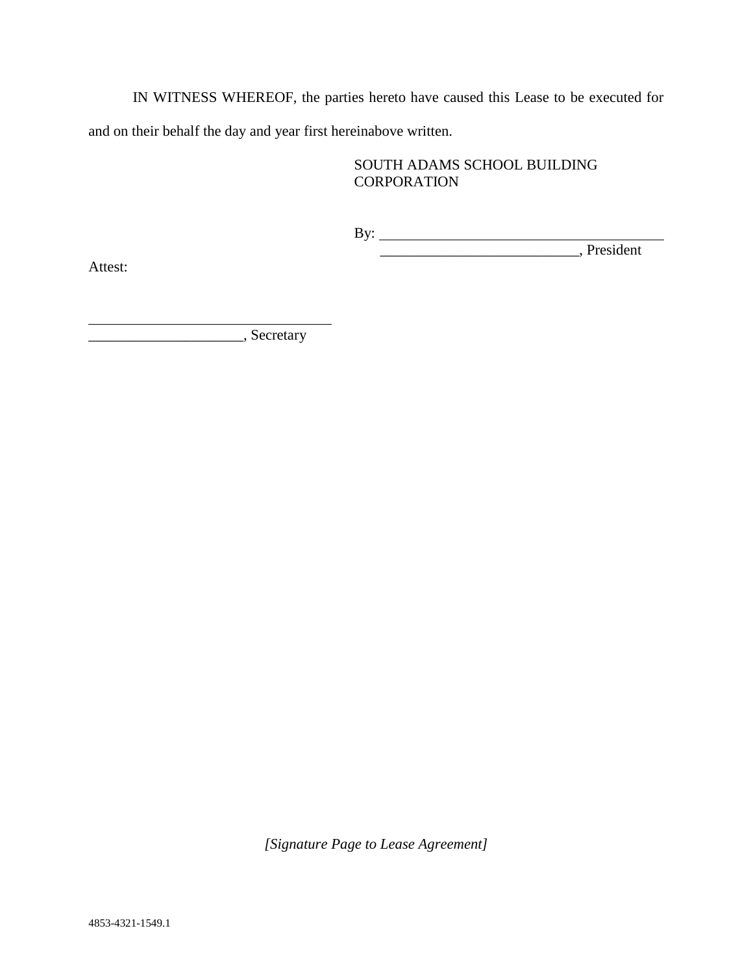IN WITNESS WHEREOF, the parties hereto have caused this Lease to be executed for and on their behalf the day and year first hereinabove written.

## SOUTH ADAMS SCHOOL BUILDING **CORPORATION**

By: \_\_\_\_\_\_\_\_\_\_\_\_\_\_\_\_\_\_\_\_\_\_\_\_\_\_\_, President

Attest:

\_\_\_\_\_\_\_\_\_\_\_\_\_\_\_\_\_\_\_\_\_, Secretary

*[Signature Page to Lease Agreement]*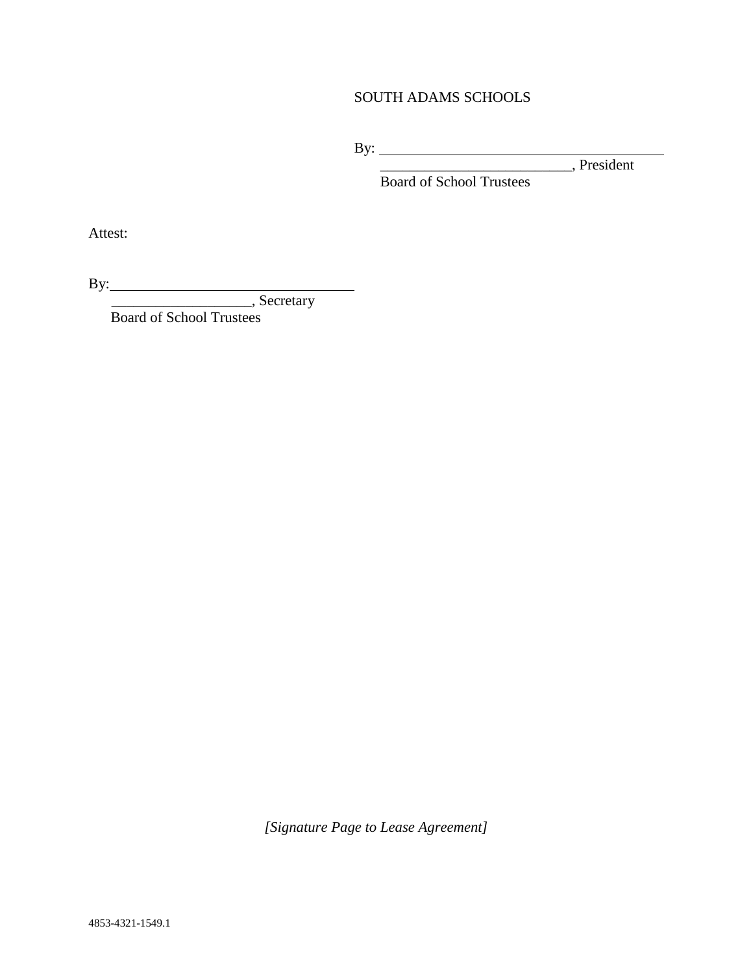# SOUTH ADAMS SCHOOLS

By:

\_\_\_\_\_\_\_\_\_\_\_\_\_\_\_\_\_\_\_\_\_\_\_\_\_\_, President

Board of School Trustees

Attest:

By:

\_\_\_\_\_\_\_\_\_\_\_\_\_\_\_\_\_\_\_, Secretary

Board of School Trustees

*[Signature Page to Lease Agreement]*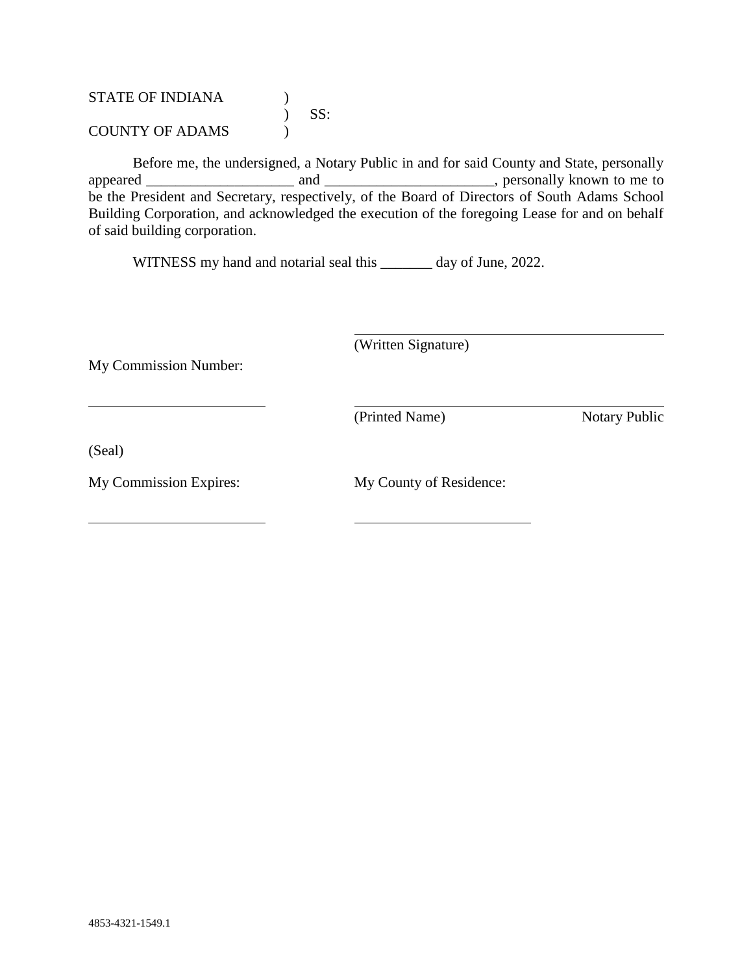STATE OF INDIANA (1)  $)$  SS: COUNTY OF ADAMS )

Before me, the undersigned, a Notary Public in and for said County and State, personally appeared \_\_\_\_\_\_\_\_\_\_\_\_\_\_\_\_\_\_\_\_ and \_\_\_\_\_\_\_\_\_\_\_\_\_\_\_\_\_\_\_\_\_\_\_, personally known to me to be the President and Secretary, respectively, of the Board of Directors of South Adams School Building Corporation, and acknowledged the execution of the foregoing Lease for and on behalf of said building corporation.

WITNESS my hand and notarial seal this \_\_\_\_\_\_\_ day of June, 2022.

(Written Signature)

My Commission Number:

(Printed Name) Notary Public

(Seal)

My Commission Expires: My County of Residence: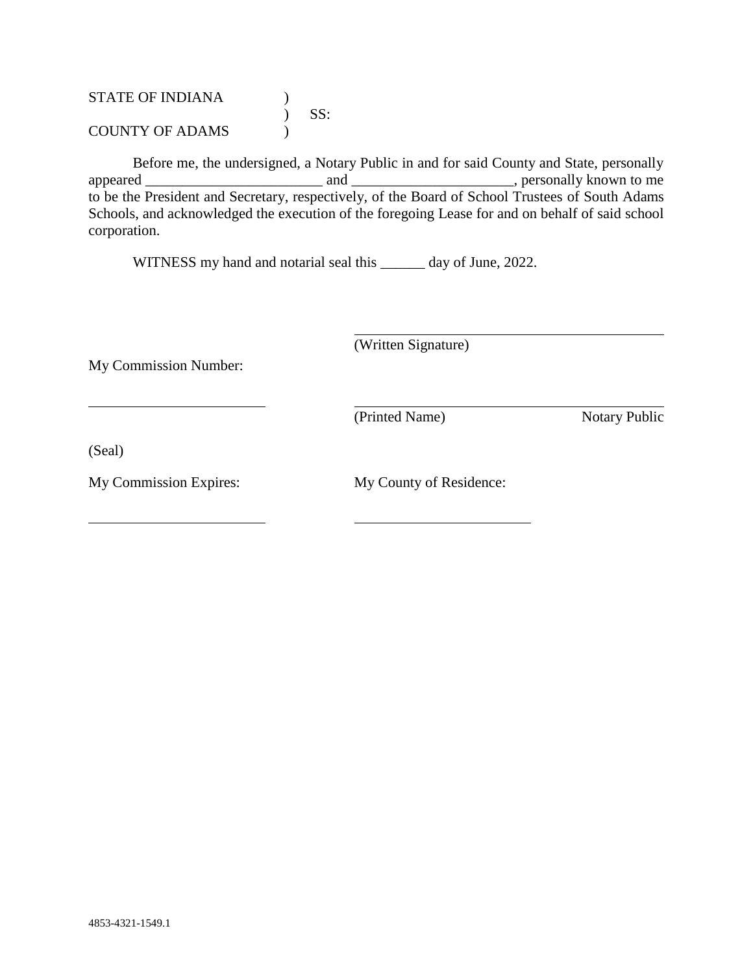STATE OF INDIANA (1)  $)$  SS: COUNTY OF ADAMS (1)

Before me, the undersigned, a Notary Public in and for said County and State, personally appeared \_\_\_\_\_\_\_\_\_\_\_\_\_\_\_\_\_\_\_\_\_\_\_\_ and \_\_\_\_\_\_\_\_\_\_\_\_\_\_\_\_\_\_\_\_\_\_, personally known to me to be the President and Secretary, respectively, of the Board of School Trustees of South Adams Schools, and acknowledged the execution of the foregoing Lease for and on behalf of said school corporation.

WITNESS my hand and notarial seal this \_\_\_\_\_\_ day of June, 2022.

(Written Signature)

My Commission Number:

(Printed Name) Notary Public

(Seal)

My Commission Expires: My County of Residence: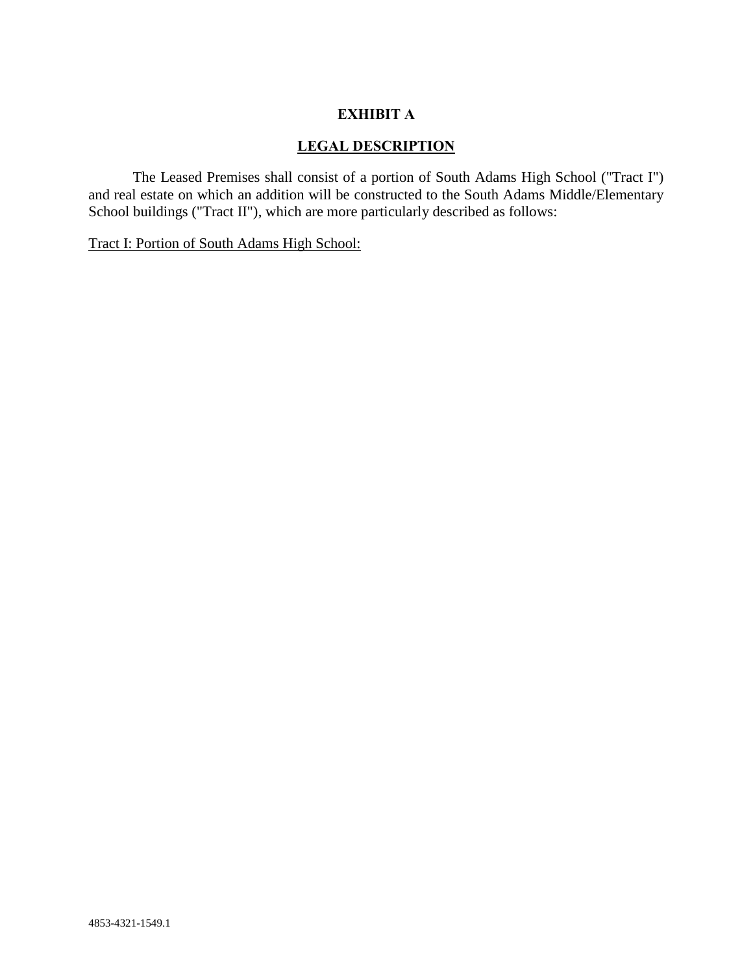#### **EXHIBIT A**

#### **LEGAL DESCRIPTION**

The Leased Premises shall consist of a portion of South Adams High School ("Tract I") and real estate on which an addition will be constructed to the South Adams Middle/Elementary School buildings ("Tract II"), which are more particularly described as follows:

Tract I: Portion of South Adams High School: